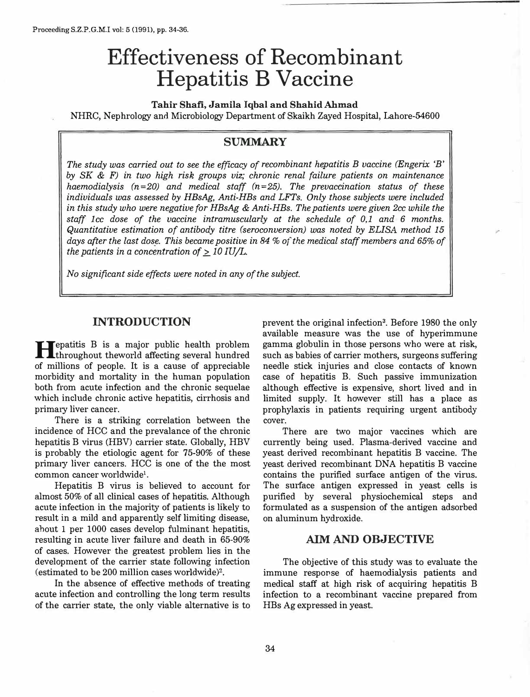# **Effectiveness of Recombinant Hepatitis B Vaccine**

**Tahir Shafi, Jamila Iqbal and Shahid Ahmad**  NHRC, Nephrology and Microbiology Department of Skaikh Zayed Hospital, Lahore-54600

### **SUMMARY**

*The study was carried out to see the efficacy of recombinant hepatitis B vaccine (Engerix 'B' by SK* & *F) in two high risk groups viz; chronic renal failure patients on maintenance haemodialysis (n =20) and medical staff (n =25). The prevaccination status of these individuals was assessed by HBsAg, Anti-HBs and LFTs. Only those subjects were included in this study who were negative for HBsAg* & *Anti-HBs. The patients were given 2cc while the staff lee dose of the vaccine intramuscularly at the schedule of 0,1 and 6 months. Quantitative estimation of antibody titre (seroconversion) was noted by ELISA method 15 days after the last dos\_e. This became positive in 84* % *of the medical staff members and 65% of the patients in a concentration of*  $> 10$  *IU/L.* 

*No significant side effects were noted in any of the subject.* 

## **INTRODUCTION**

**H** epatitis B is a major public health problem<br>throughout theworld affecting several hundred repatitis B is a major public health problem of millions of people. It is a cause of appreciable morbidity and mortality in the human population both from acute infection and the chronic sequelae which include chronic active hepatitis, cirrhosis and primary liver cancer.

There is a striking correlation between the incidence of HCC and the prevalance of the chronic hepatitis B virus (HBV) carrier state. Globally, HBV is probably the etiologic agent for 75-90% of these primary liver cancers. HCC is one of the the most common cancer worldwide<sup>1</sup>.

Hepatitis B virus is believed to account for almost 50% of all clinical cases of hepatitis. Although acute infection in the majority of patients is likely to result in a mild and apparently self limiting disease, ahout 1 per 1000 cases develop fulminant hepatitis, resulting in acute liver failure and death in 65-90% of cases. However the greatest problem lies in the development of the carrier state following infection (estimated to be 200 million cases worldwide)2.

In the absence of effective methods of treating acute infection and controlling the long term results of the carrier state, the only viable alternative is to

prevent the original infection<sup>3</sup>. Before 1980 the only available measure was the use of hyperimmune gamma globulin in those persons who were at risk, such as babies of carrier mothers, surgeons suffering needle stick injuries and close contacts of known case of hepatitis B. Such passive immunization although effective is expensive, short lived and in limited supply. It however still has a place as prophylaxis in patients requiring urgent antibody cover.

There are two major vaccines which are currently being used. Plasma-derived vaccine and yeast derived recombinant hepatitis B vaccine. The yeast derived recombinant DNA hepatitis B vaccine contains the purified surface antigen of the virus. The surface antigen expressed in yeast cells is purified by several physiochemical steps and formulated as a suspension of the antigen adsorbed on aluminum hydroxide.

#### **AIM AND OBJECTIVE**

The objective of this study was to evaluate the immune response of haemodialysis patients and medical staff at high risk of acquiring hepatitis B infection to a recombinant vaccine prepared from HBs Ag expressed in yeast.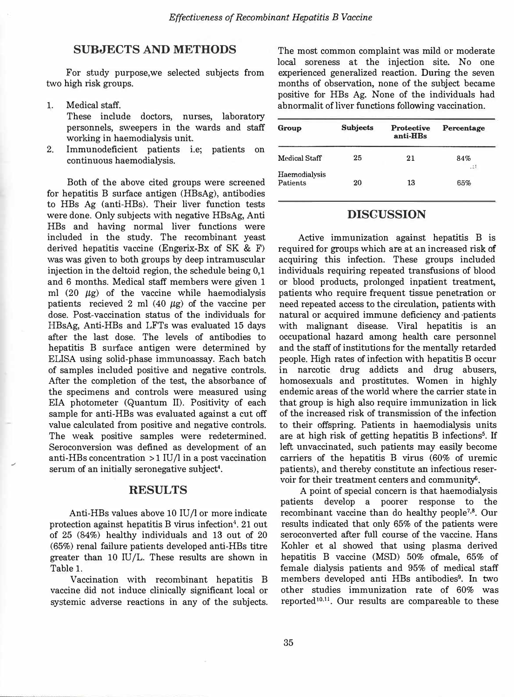#### **SUBJECTS AND METHODS**

For study purpose,we selected subjects from two high risk groups.

1. Medical staff.

.,

These include doctors, nurses, laboratory personnels, sweepers in the wards and staff working in haemodialysis unit.

2. Immunodeficient patients i.e; patients on continuous haemodialysis.

Both of the above cited groups were screened for hepatitis B surface antigen (HBsAg), antibodies to HBs Ag (anti-HBs). Their liver function tests were done. Only subjects with negative HBsAg, Anti HBs and having normal liver functions were included in the study. The recombinant yeast derived hepatitis vaccine (Engerix-Bx of SK & F) was was given to both groups by deep intramuscular injection in the deltoid region, the schedule being 0,1 and 6 months. Medical staff members were given 1 ml (20  $\mu$ g) of the vaccine while haemodialysis patients recieved 2 ml  $(40 \mu g)$  of the vaccine per dose. Post-vaccination status of the individuals for HBsAg, Anti-HBs and LFTs was evaluated 15 days after the last dose. The levels of antibodies to hepatitis B surface antigen were determined by ELISA using solid-phase immunoassay. Each batch of samples included positive and negative controls. After the completion of the test, the absorbance of the specimens and controls were measured using EIA photometer (Quantum II). Positivity of each sample for anti-HBs was evaluated against a cut off value calculated from positive and negative controls. The weak positive samples were redetermined. Seroconversion was defined as development of an anti-HBs concentration  $>1$  IU/l in a post vaccination serum of an initially seronegative subject'.

### **RESULTS**

Anti-HBs values above 10 IU/1 or more indicate protection against hepatitis B virus infection<sup>4</sup>. 21 out of 25 (84%) healthy individuals and 13 out of 20 (65%) renal failure patients developed anti-HBs titre greater than  $10 \text{ IU/L}$ . These results are shown in Table 1.

Vaccination with recombinant hepatitis B vaccine did not induce clinically significant local or systemic adverse reactions in any of the subjects. The most common complaint was mild or moderate local soreness at the injection site. No one experienced generalized reaction. During the seven months of observation, none of the subject became positive for HBs Ag. None of the individuals had abnormalit of liver functions following vaccination.

| Group                            | <b>Subjects</b> | <b>Protective</b><br>anti-HBs | Percentage   |
|----------------------------------|-----------------|-------------------------------|--------------|
| Medical Staff                    | 25              | 21                            | 84%<br>$-25$ |
| Haemodialysis<br><b>Patients</b> | 20              | 13                            | 65%          |

#### **DISCUSSION**

Active immunization against hepatitis B is required for groups which are at an increased risk of acquiring this infection. These groups included individuals requiring repeated transfusions of blood or blood products, prolonged inpatient treatment, patients who require frequent tissue penetration or need repeated access to the circulation, patients with natural or acquired immune deficiency and ·patients with malignant disease. Viral hepatitis is an occupational hazard among health care personnel and the staff of institutions for the mentally retarded people. High rates of infection with hepatitis B occur in narcotic drug addicts and drug abusers, homosexuals and prostitutes. Women in highly endemic areas of the world where the carrier state in that group is high also require immunization in lick of the increased risk of transmission of the infection to their offspring. Patients in haemodialysis units are at high risk of getting hepatitis B infections**<sup>5</sup> .** If left unvaccinated, such patients may easily become carriers of the hepatitis B virus (60% of uremic patients), and thereby constitute an infectious reservoir for their treatment centers and community6.

A point of special concern is that haemodialysis patients develop a poorer response to the recombinant vaccine than do healthy people<sup>7,8</sup>. Our results indicated that only 65% of the patients were seroconverted after full course of the vaccine. Hans Kohler et al showed that using plasma derived hepatitis B vaccine (MSD) 50% ofmale, 65% of female dialysis patients and 95% of medical staff members developed anti HBs antibodies**<sup>9</sup> •** In two other studies immunization rate of 60% was reported<sup>10,11</sup>. Our results are compareable to these